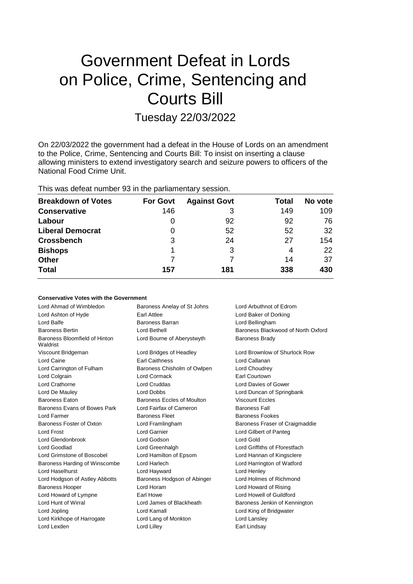# Government Defeat in Lords on Police, Crime, Sentencing and Courts Bill

# Tuesday 22/03/2022

On 22/03/2022 the government had a defeat in the House of Lords on an amendment to the Police, Crime, Sentencing and Courts Bill: To insist on inserting a clause allowing ministers to extend investigatory search and seizure powers to officers of the National Food Crime Unit.

This was defeat number 93 in the parliamentary session.

| <b>Breakdown of Votes</b> | <b>For Govt</b> | <b>Against Govt</b> | Total | No vote |
|---------------------------|-----------------|---------------------|-------|---------|
| <b>Conservative</b>       | 146             | 3                   | 149   | 109     |
| Labour                    | 0               | 92                  | 92    | 76      |
| <b>Liberal Democrat</b>   | 0               | 52                  | 52    | 32      |
| <b>Crossbench</b>         | 3               | 24                  | 27    | 154     |
| <b>Bishops</b>            | 1               | 3                   | 4     | 22      |
| <b>Other</b>              |                 |                     | 14    | 37      |
| <b>Total</b>              | 157             | 181                 | 338   | 430     |

### **Conservative Votes with the Government**

| Lord Ahmad of Wimbledon                   | Baroness Anelay of St Johns | Lord Arbuthnot of Edrom            |
|-------------------------------------------|-----------------------------|------------------------------------|
| Lord Ashton of Hyde                       | Earl Attlee                 | Lord Baker of Dorking              |
| Lord Balfe                                | <b>Baroness Barran</b>      | Lord Bellingham                    |
| <b>Baroness Bertin</b>                    | Lord Bethell                | Baroness Blackwood of North Oxford |
| Baroness Bloomfield of Hinton<br>Waldrist | Lord Bourne of Aberystwyth  | <b>Baroness Brady</b>              |
| Viscount Bridgeman                        | Lord Bridges of Headley     | Lord Brownlow of Shurlock Row      |
| Lord Caine                                | <b>Earl Caithness</b>       | Lord Callanan                      |
| Lord Carrington of Fulham                 | Baroness Chisholm of Owlpen | Lord Choudrey                      |
| Lord Colgrain                             | <b>Lord Cormack</b>         | <b>Earl Courtown</b>               |
| Lord Crathorne                            | Lord Cruddas                | Lord Davies of Gower               |
| Lord De Mauley                            | Lord Dobbs                  | Lord Duncan of Springbank          |
| <b>Baroness Eaton</b>                     | Baroness Eccles of Moulton  | <b>Viscount Eccles</b>             |
| Baroness Evans of Bowes Park              | Lord Fairfax of Cameron     | <b>Baroness Fall</b>               |
| Lord Farmer                               | <b>Baroness Fleet</b>       | <b>Baroness Fookes</b>             |
| Baroness Foster of Oxton                  | Lord Framlingham            | Baroness Fraser of Craigmaddie     |
| Lord Frost                                | Lord Garnier                | Lord Gilbert of Panteg             |
| Lord Glendonbrook                         | Lord Godson                 | Lord Gold                          |
| Lord Goodlad                              | Lord Greenhalgh             | Lord Griffiths of Fforestfach      |
| Lord Grimstone of Boscobel                | Lord Hamilton of Epsom      | Lord Hannan of Kingsclere          |
| Baroness Harding of Winscombe             | Lord Harlech                | Lord Harrington of Watford         |
| Lord Haselhurst                           | Lord Hayward                | Lord Henley                        |
| Lord Hodgson of Astley Abbotts            | Baroness Hodgson of Abinger | Lord Holmes of Richmond            |
| <b>Baroness Hooper</b>                    | Lord Horam                  | Lord Howard of Rising              |
| Lord Howard of Lympne                     | Earl Howe                   | Lord Howell of Guildford           |
| Lord Hunt of Wirral                       | Lord James of Blackheath    | Baroness Jenkin of Kennington      |
| Lord Jopling                              | Lord Kamall                 | Lord King of Bridgwater            |
| Lord Kirkhope of Harrogate                | Lord Lang of Monkton        | Lord Lansley                       |
| Lord Lexden                               | Lord Lilley                 | Earl Lindsay                       |
|                                           |                             |                                    |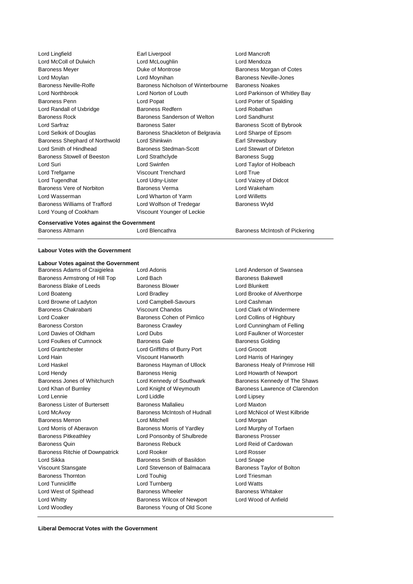Lord Lingfield Earl Liverpool Lord Mancroft Lord McColl of Dulwich Lord McLoughlin Lord Mendoza Baroness Meyer **Duke of Montrose** Baroness Morgan of Cotes Lord Moylan Lord Moynihan Baroness Neville-Jones Baroness Neville-Rolfe Baroness Nicholson of Winterbourne Baroness Noakes Lord Northbrook Lord Norton of Louth Lord Parkinson of Whitley Bay Baroness Penn Lord Popat Lord Porter of Spalding Lord Randall of Uxbridge **Baroness Redfern** Baroness Redfern Lord Robathan Baroness Rock Baroness Sanderson of Welton Lord Sandhurst Lord Sarfraz **Baroness Sater** Baroness Sater Baroness Scott of Bybrook Lord Selkirk of Douglas Baroness Shackleton of Belgravia Lord Sharpe of Epsom Baroness Shephard of Northwold Lord Shinkwin **Earl Shrewsbury** Lord Smith of Hindhead Baroness Stedman-Scott Lord Stewart of Dirleton Baroness Stowell of Beeston Lord Strathclyde **Baroness Sugg** Baroness Sugg Lord Suri Lord Swinfen Lord Taylor of Holbeach Lord Trefgarne **Viscount Trenchard** Lord True Lord Tugendhat Lord Udny-Lister Lord Vaizey of Didcot Baroness Vere of Norbiton **Baroness Verma** Lord Wakeham Lord Wasserman Lord Wharton of Yarm Lord Willetts Baroness Williams of Trafford Lord Wolfson of Tredegar Baroness Wyld Lord Young of Cookham Viscount Younger of Leckie

#### **Conservative Votes against the Government**

Baroness Altmann **Marting Contains Containers Containers** Baroness McIntosh of Pickering

#### **Labour Votes with the Government**

## **Labour Votes against the Government**

Baroness Armstrong of Hill Top Lord Bach Baroness Bakewell Baroness Blake of Leeds Baroness Blower Baroness Blower Lord Blunkett Lord Boateng Lord Bradley Lord Brooke of Alverthorpe Lord Browne of Ladyton Lord Campbell-Savours Lord Cashman Baroness Chakrabarti **Viscount Chandos** Chandos Lord Clark of Windermere Lord Coaker **Baroness Cohen of Pimlico** Lord Collins of Highbury Baroness Corston **Baroness Crawley Community** Lord Cunningham of Felling Lord Davies of Oldham Lord Dubs Lord Faulkner of Worcester Lord Foulkes of Cumnock **Baroness Gale** Baroness Gale Baroness Golding Lord Grantchester Lord Griffiths of Burry Port Lord Grocott Lord Hain Viscount Hanworth Lord Harris of Haringey Lord Haskel **Baroness Hayman of Ullock** Baroness Healy of Primrose Hill Lord Hendy **Baroness Henig Lord Howarth of Newport** Baroness Henig Lord Howarth of Newport Baroness Jones of Whitchurch Lord Kennedy of Southwark Baroness Kennedy of The Shaws Lord Khan of Burnley **Lord Knight of Weymouth** Baroness Lawrence of Clarendon Lord Lennie Lord Liddle Lord Lipsey Baroness Lister of Burtersett Baroness Mallalieu Lord Maxton Lord McAvoy Baroness McIntosh of Hudnall Lord McNicol of West Kilbride Baroness Merron Lord Mitchell Lord Morgan Lord Morris of Aberavon Baroness Morris of Yardley Lord Murphy of Torfaen Baroness Pitkeathley **Lord Ponsonby of Shulbrede** Baroness Prosser Baroness Quin Baroness Rebuck Lord Reid of Cardowan Baroness Ritchie of Downpatrick Lord Rooker Lord Rosser Lord Sikka **Baroness Smith of Basildon** Lord Snape Viscount Stansgate **Lord Stevenson of Balmacara** Baroness Taylor of Bolton Baroness Thornton **Lord Touhig** Lord Touhig Lord Triesman Lord Tunnicliffe Lord Turnberg Lord Watts Lord West of Spithead **Baroness Wheeler** Baroness Wheeler Baroness Whitaker Lord Whitty Baroness Wilcox of Newport Lord Wood of Anfield Lord Woodley **Baroness Young of Old Scone** 

Baroness Adams of Craigielea Lord Adonis Lord Anderson of Swansea

**Liberal Democrat Votes with the Government**